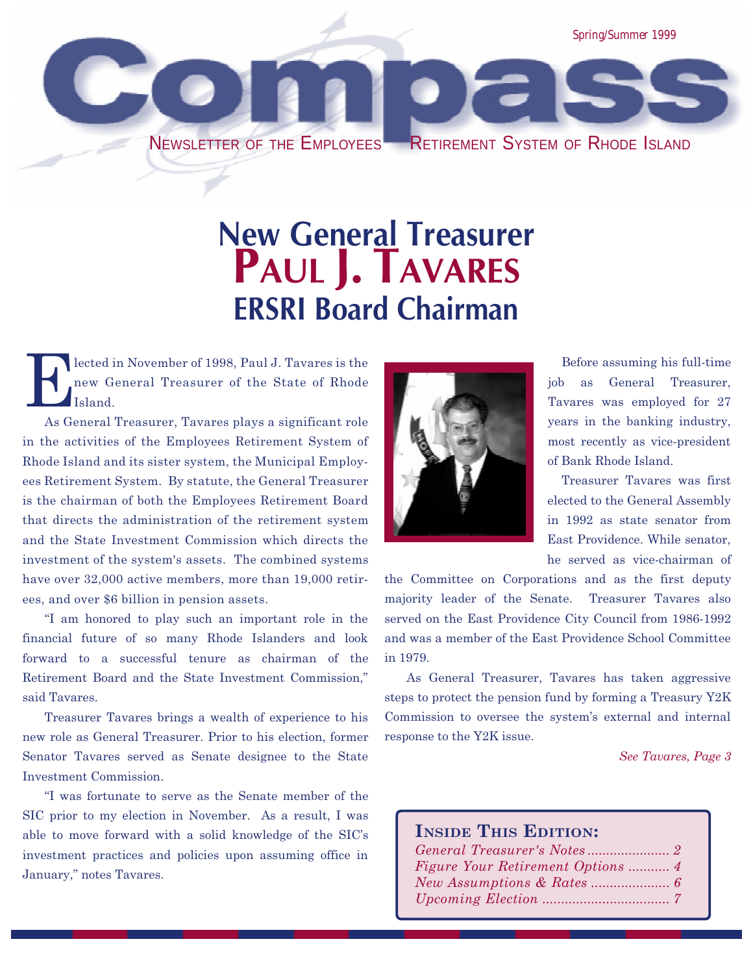

## **New General Treasurer** PAUL **J. TAVARES** ERSRI Board Chairman

lected in November of 1998, Paul J. Tavares is the new General Treasurer of the State of Rhode Island.

As General Treasurer, Tavares plays a significant role in the activities of the Employees Retirement System of Rhode Island and its sister system, the Municipal Employees Retirement System. By statute, the General Treasurer is the chairman of both the Employees Retirement Board that directs the administration of the retirement system and the State Investment Commission which directs the investment of the system's assets. The combined systems have over 32,000 active members, more than 19,000 retirees, and over \$6 billion in pension assets.

I am honored to play such an important role in the financial future of so many Rhode Islanders and look forward to a successful tenure as chairman of the Retirement Board and the State Investment Commission, said Tavares.

Treasurer Tavares brings a wealth of experience to his new role as General Treasurer. Prior to his election, former Senator Tavares served as Senate designee to the State Investment Commission.

I was fortunate to serve as the Senate member of the SIC prior to my election in November. As a result, I was able to move forward with a solid knowledge of the SIC's investment practices and policies upon assuming office in January," notes Tavares.



Before assuming his full-time job as General Treasurer, Tavares was employed for 27 years in the banking industry, most recently as vice-president of Bank Rhode Island.

Treasurer Tavares was first elected to the General Assembly in 1992 as state senator from East Providence. While senator, he served as vice-chairman of

the Committee on Corporations and as the first deputy majority leader of the Senate. Treasurer Tavares also served on the East Providence City Council from 1986-1992 and was a member of the East Providence School Committee in 1979.

As General Treasurer, Tavares has taken aggressive steps to protect the pension fund by forming a Treasury Y2K Commission to oversee the system's external and internal response to the Y2K issue.

See Tavares, Page 3

#### INSIDE THIS EDITION:

| <i>Figure Your Retirement Options </i> 4 |  |
|------------------------------------------|--|
|                                          |  |
|                                          |  |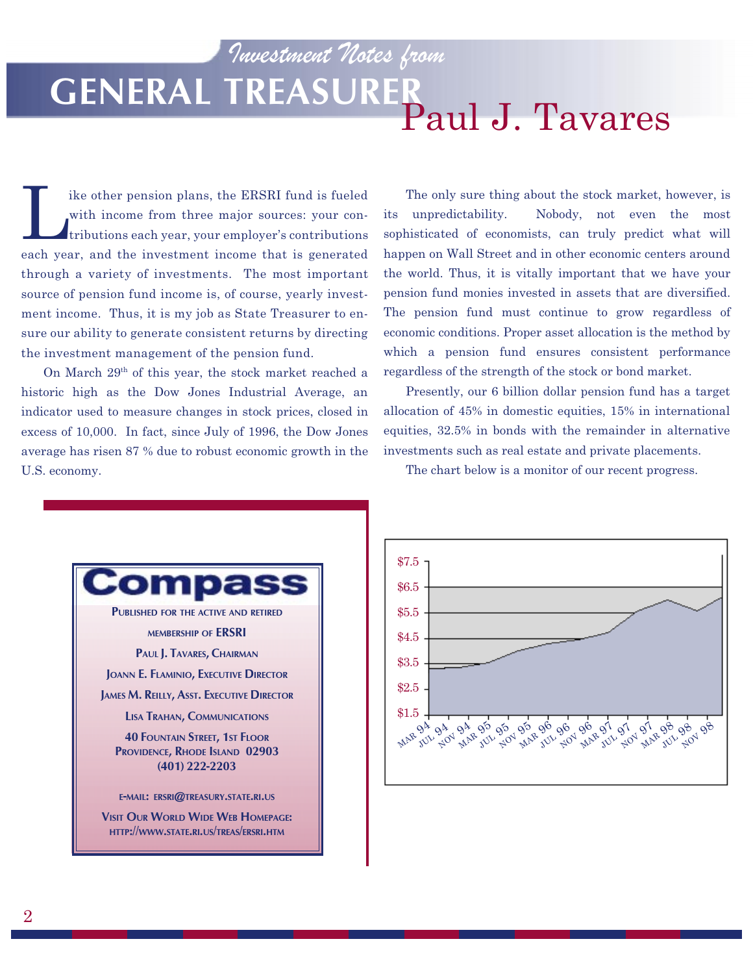## Investment Notes from GENERAL TREASURER<br>Paul J. Tavares

The other pension plans, the ERSRI fund is fueled<br>with income from three major sources: your con-<br>tributions each year, your employer's contributions with income from three major sources: your contributions each year, your employer's contributions each year, and the investment income that is generated through a variety of investments. The most important source of pension fund income is, of course, yearly investment income. Thus, it is my job as State Treasurer to ensure our ability to generate consistent returns by directing the investment management of the pension fund.

On March 29th of this year, the stock market reached a historic high as the Dow Jones Industrial Average, an indicator used to measure changes in stock prices, closed in excess of 10,000. In fact, since July of 1996, the Dow Jones average has risen 87 % due to robust economic growth in the U.S. economy.

The only sure thing about the stock market, however, is its unpredictability. Nobody, not even the most sophisticated of economists, can truly predict what will happen on Wall Street and in other economic centers around the world. Thus, it is vitally important that we have your pension fund monies invested in assets that are diversified. The pension fund must continue to grow regardless of economic conditions. Proper asset allocation is the method by which a pension fund ensures consistent performance regardless of the strength of the stock or bond market.

Presently, our 6 billion dollar pension fund has a target allocation of 45% in domestic equities, 15% in international equities, 32.5% in bonds with the remainder in alternative investments such as real estate and private placements.

The chart below is a monitor of our recent progress.



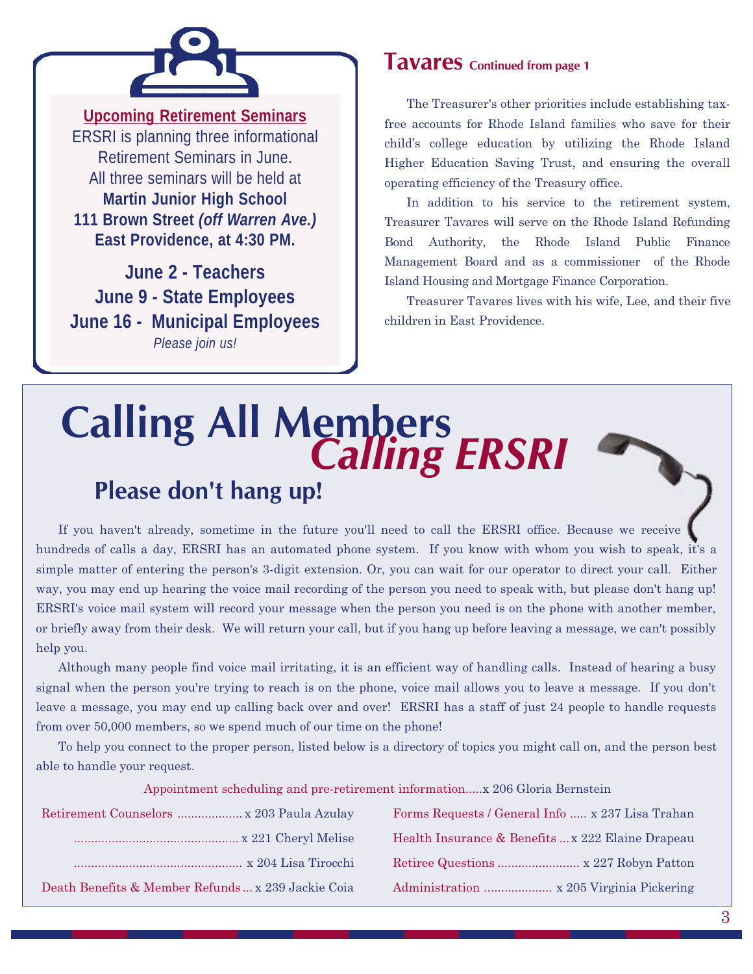

**Upcoming Retirement Seminars** ERSRI is planning three informational Retirement Seminars in June. All three seminars will be held at **Martin Junior High School 111 Brown Street** *(off Warren Ave.)* **East Providence, at 4:30 PM.**

**June 2 - Teachers June 9 - State Employees June 16 - Municipal Employees** *Please join us!*

### Tavares Continued from page 1

The Treasurer's other priorities include establishing taxfree accounts for Rhode Island families who save for their child's college education by utilizing the Rhode Island Higher Education Saving Trust, and ensuring the overall operating efficiency of the Treasury office.

In addition to his service to the retirement system, Treasurer Tavares will serve on the Rhode Island Refunding Bond Authority, the Rhode Island Public Finance Management Board and as a commissioner of the Rhode Island Housing and Mortgage Finance Corporation.

Treasurer Tavares lives with his wife, Lee, and their five children in East Providence.

# **Calling All Members**<br>Calling ERSRI Please don't hang up!

If you haven't already, sometime in the future you'll need to call the ERSRI office. Because we receive hundreds of calls a day, ERSRI has an automated phone system. If you know with whom you wish to speak, it's a simple matter of entering the person's 3-digit extension. Or, you can wait for our operator to direct your call. Either way, you may end up hearing the voice mail recording of the person you need to speak with, but please don't hang up! ERSRI's voice mail system will record your message when the person you need is on the phone with another member, or briefly away from their desk. We will return your call, but if you hang up before leaving a message, we can't possibly help you.

Although many people find voice mail irritating, it is an efficient way of handling calls. Instead of hearing a busy signal when the person you're trying to reach is on the phone, voice mail allows you to leave a message. If you don't leave a message, you may end up calling back over and over! ERSRI has a staff of just 24 people to handle requests from over 50,000 members, so we spend much of our time on the phone!

To help you connect to the proper person, listed below is a directory of topics you might call on, and the person best able to handle your request.

Appointment scheduling and pre-retirement information.....x 206 Gloria Bernstein

| Retirement Counselors  x 203 Paula Azulay          | Forms Requests / General Info  x 237 Lisa Trahan  |
|----------------------------------------------------|---------------------------------------------------|
|                                                    | Health Insurance & Benefits  x 222 Elaine Drapeau |
|                                                    |                                                   |
| Death Benefits & Member Refunds  x 239 Jackie Coia |                                                   |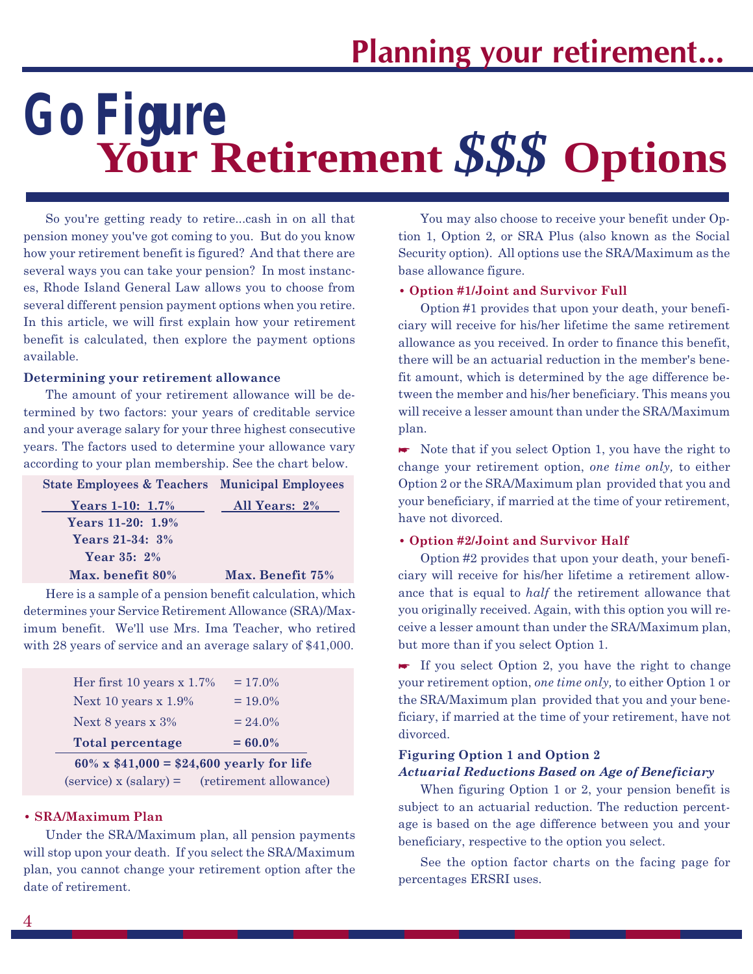# **Your Retirement** *\$\$\$* **Options** *Go Figure*

So you're getting ready to retire...cash in on all that pension money you've got coming to you. But do you know how your retirement benefit is figured? And that there are several ways you can take your pension? In most instances, Rhode Island General Law allows you to choose from several different pension payment options when you retire. In this article, we will first explain how your retirement benefit is calculated, then explore the payment options available.

#### Determining your retirement allowance

The amount of your retirement allowance will be determined by two factors: your years of creditable service and your average salary for your three highest consecutive years. The factors used to determine your allowance vary according to your plan membership. See the chart below.

| <b>State Employees &amp; Teachers Municipal Employees</b> |                  |
|-----------------------------------------------------------|------------------|
| Years 1-10: $1.7\%$                                       | All Years: 2%    |
| Years 11-20: 1.9%                                         |                  |
| <b>Years 21-34: 3%</b>                                    |                  |
| Year 35: 2%                                               |                  |
| Max. benefit 80%                                          | Max. Benefit 75% |
|                                                           |                  |

Here is a sample of a pension benefit calculation, which determines your Service Retirement Allowance (SRA)/Maximum benefit. We'll use Mrs. Ima Teacher, who retired with 28 years of service and an average salary of \$41,000.

| $60\% \times $41,000 = $24,600 \text{ yearly}$ for life |            |
|---------------------------------------------------------|------------|
| <b>Total percentage</b>                                 | $= 60.0\%$ |
| Next 8 years $x\,3\%$                                   | $= 24.0\%$ |
| Next 10 years $x$ 1.9%                                  | $= 19.0\%$ |
| Her first 10 years $x$ 1.7%                             | $= 17.0\%$ |

 $(s$ ervice) x  $(s$ alary $)$  =  $(r$ etirement allowance

#### SRA/Maximum Plan

Under the SRA/Maximum plan, all pension payments will stop upon your death. If you select the SRA/Maximum plan, you cannot change your retirement option after the date of retirement.

You may also choose to receive your benefit under Option 1, Option 2, or SRA Plus (also known as the Social Security option). All options use the SRA/Maximum as the base allowance figure.

#### Option #1/Joint and Survivor Full

Option #1 provides that upon your death, your beneficiary will receive for his/her lifetime the same retirement allowance as you received. In order to finance this benefit, there will be an actuarial reduction in the member's benefit amount, which is determined by the age difference between the member and his/her beneficiary. This means you will receive a lesser amount than under the SRA/Maximum plan.

 $\blacktriangleright$  Note that if you select Option 1, you have the right to change your retirement option, one time only, to either Option 2 or the SRA/Maximum plan provided that you and your beneficiary, if married at the time of your retirement, have not divorced.

#### Option #2/Joint and Survivor Half

Option #2 provides that upon your death, your beneficiary will receive for his/her lifetime a retirement allowance that is equal to half the retirement allowance that you originally received. Again, with this option you will receive a lesser amount than under the SRA/Maximum plan, but more than if you select Option 1.

 $\blacktriangleright$  If you select Option 2, you have the right to change your retirement option, one time only, to either Option 1 or the SRA/Maximum plan provided that you and your beneficiary, if married at the time of your retirement, have not divorced.

#### Figuring Option 1 and Option 2 Actuarial Reductions Based on Age of Beneficiary

When figuring Option 1 or 2, your pension benefit is subject to an actuarial reduction. The reduction percentage is based on the age difference between you and your beneficiary, respective to the option you select.

See the option factor charts on the facing page for percentages ERSRI uses.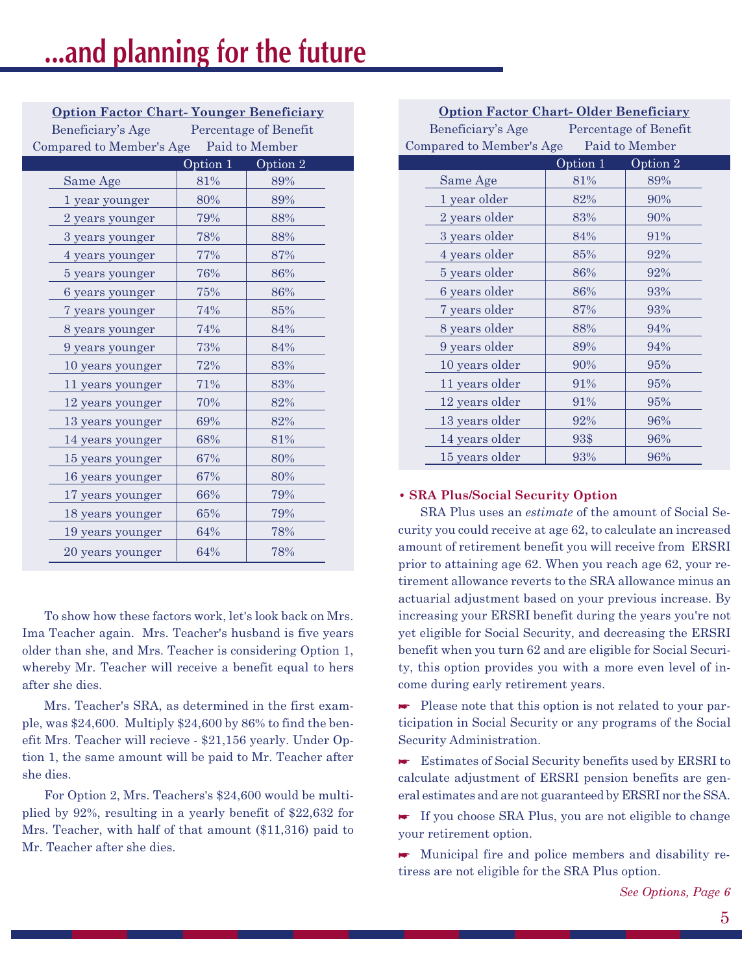Option Factor Chart- Younger Beneficiary

| Beneficiary's Age        |          | Percentage of Benefit |  |
|--------------------------|----------|-----------------------|--|
| Compared to Member's Age |          | Paid to Member        |  |
|                          | Option 1 | Option 2              |  |
| Same Age                 | 81%      | 89%                   |  |
| 1 year younger           | 80%      | 89%                   |  |
| 2 years younger          | 79%      | 88%                   |  |
| 3 years younger          | 78%      | 88%                   |  |
| 4 years younger          | 77%      | 87%                   |  |
| 5 years younger          | 76%      | 86%                   |  |
| 6 years younger          | 75%      | 86%                   |  |
| 7 years younger          | 74%      | 85%                   |  |
| 8 years younger          | 74%      | 84%                   |  |
| 9 years younger          | 73%      | 84%                   |  |
| 10 years younger         | 72%      | 83%                   |  |
| 11 years younger         | 71%      | 83%                   |  |
| 12 years younger         | 70%      | 82%                   |  |
| 13 years younger         | 69%      | 82%                   |  |
| 14 years younger         | 68%      | 81%                   |  |
| 15 years younger         | 67%      | 80%                   |  |
| 16 years younger         | 67%      | 80%                   |  |
| 17 years younger         | 66%      | 79%                   |  |
| 18 years younger         | 65%      | 79%                   |  |
| 19 years younger         | 64%      | 78%                   |  |
| 20 years younger         | 64%      | 78%                   |  |

To show how these factors work, let's look back on Mrs. Ima Teacher again. Mrs. Teacher's husband is five years older than she, and Mrs. Teacher is considering Option 1, whereby Mr. Teacher will receive a benefit equal to hers after she dies.

Mrs. Teacher's SRA, as determined in the first example, was \$24,600. Multiply \$24,600 by 86% to find the benefit Mrs. Teacher will recieve - \$21,156 yearly. Under Option 1, the same amount will be paid to Mr. Teacher after she dies.

For Option 2, Mrs. Teachers's \$24,600 would be multiplied by 92%, resulting in a yearly benefit of \$22,632 for Mrs. Teacher, with half of that amount (\$11,316) paid to Mr. Teacher after she dies.

| <b>Option Factor Chart-Older Beneficiary</b> |                              |                |
|----------------------------------------------|------------------------------|----------------|
| Beneficiary's Age<br>Percentage of Benefit   |                              |                |
| Compared to Member's Age                     |                              | Paid to Member |
|                                              | $\overline{\text{Option 1}}$ | Option 2       |
| Same Age                                     | 81%                          | 89%            |
| 1 year older                                 | 82%                          | 90%            |
| 2 years older                                | 83%                          | 90%            |
| 3 years older                                | 84%                          | 91%            |
| 4 years older                                | 85%                          | 92%            |
| 5 years older                                | 86%                          | 92%            |
| 6 years older                                | 86%                          | 93%            |
| 7 years older                                | 87%                          | 93%            |
| 8 years older                                | 88%                          | 94%            |
| 9 years older                                | 89%                          | 94%            |
| 10 years older                               | 90%                          | 95%            |
| 11 years older                               | 91%                          | 95%            |
| 12 years older                               | 91%                          | 95%            |
| 13 years older                               | 92%                          | 96%            |
| 14 years older                               | 93\$                         | 96%            |
| 15 years older                               | 93%                          | 96%            |

#### SRA Plus/Social Security Option

SRA Plus uses an estimate of the amount of Social Security you could receive at age 62, to calculate an increased amount of retirement benefit you will receive from ERSRI prior to attaining age 62. When you reach age 62, your retirement allowance reverts to the SRA allowance minus an actuarial adjustment based on your previous increase. By increasing your ERSRI benefit during the years you're not yet eligible for Social Security, and decreasing the ERSRI benefit when you turn 62 and are eligible for Social Security, this option provides you with a more even level of income during early retirement years.

 $\blacktriangleright$  Please note that this option is not related to your participation in Social Security or any programs of the Social Security Administration.

\* Estimates of Social Security benefits used by ERSRI to calculate adjustment of ERSRI pension benefits are general estimates and are not guaranteed by ERSRI nor the SSA.

\* If you choose SRA Plus, you are not eligible to change your retirement option.

\* Municipal fire and police members and disability retiress are not eligible for the SRA Plus option.

See Options, Page 6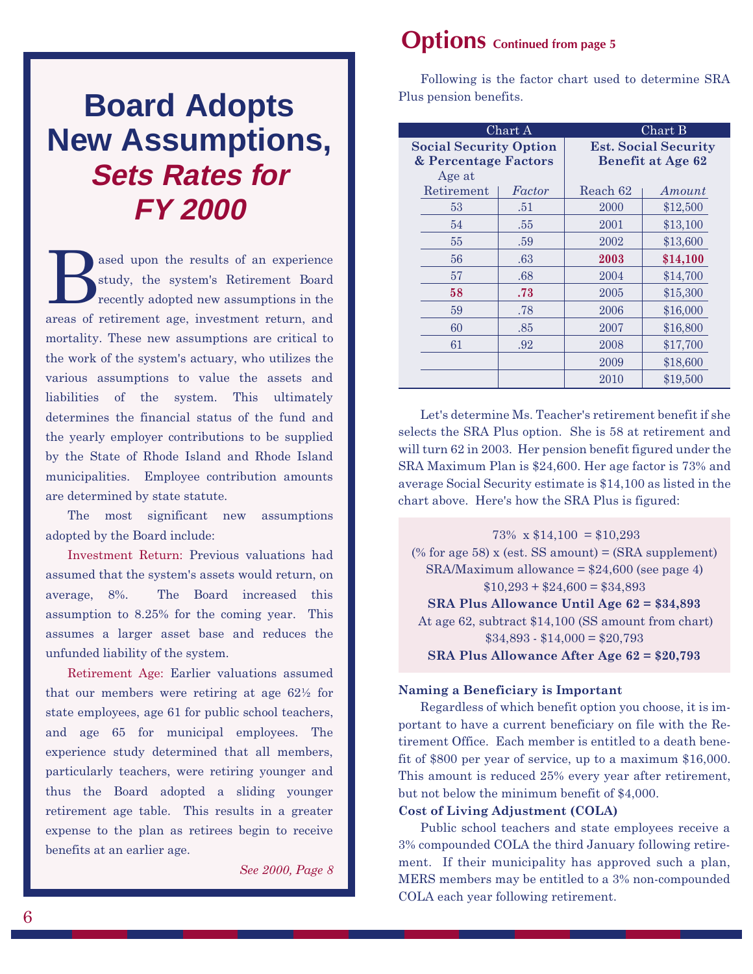## **Board Adopts New Assumptions, Sets Rates for FY 2000**

ased upon the results of an experience study, the system's Retirement Board recently adopted new assumptions in the areas of retirement age, investment return, and mortality. These new assumptions are critical to the work of the system's actuary, who utilizes the various assumptions to value the assets and liabilities of the system. This ultimately determines the financial status of the fund and the yearly employer contributions to be supplied by the State of Rhode Island and Rhode Island municipalities. Employee contribution amounts are determined by state statute.

The most significant new assumptions adopted by the Board include:

Investment Return: Previous valuations had assumed that the system's assets would return, on average, 8%. The Board increased this assumption to 8.25% for the coming year. This assumes a larger asset base and reduces the unfunded liability of the system.

Retirement Age: Earlier valuations assumed that our members were retiring at age 62½ for state employees, age 61 for public school teachers, and age 65 for municipal employees. The experience study determined that all members, particularly teachers, were retiring younger and thus the Board adopted a sliding younger retirement age table. This results in a greater expense to the plan as retirees begin to receive benefits at an earlier age.

See 2000, Page 8

### Options Continued from page 5

Following is the factor chart used to determine SRA Plus pension benefits.

| Chart A                       |        |          | Chart B                     |
|-------------------------------|--------|----------|-----------------------------|
| <b>Social Security Option</b> |        |          | <b>Est. Social Security</b> |
| & Percentage Factors          |        |          | <b>Benefit at Age 62</b>    |
| Age at                        |        |          |                             |
| Retirement                    | Factor | Reach 62 | Amount                      |
| 53                            | .51    | 2000     | \$12,500                    |
| 54                            | .55    | 2001     | \$13,100                    |
| 55                            | .59    | 2002     | \$13,600                    |
| 56                            | .63    | 2003     | \$14,100                    |
| 57                            | .68    | 2004     | \$14,700                    |
| 58                            | .73    | 2005     | \$15,300                    |
| 59                            | .78    | 2006     | \$16,000                    |
| 60                            | .85    | 2007     | \$16,800                    |
| 61                            | .92    | 2008     | \$17,700                    |
|                               |        | 2009     | \$18,600                    |
|                               |        | 2010     | \$19,500                    |

Let's determine Ms. Teacher's retirement benefit if she selects the SRA Plus option. She is 58 at retirement and will turn 62 in 2003. Her pension benefit figured under the SRA Maximum Plan is \$24,600. Her age factor is 73% and average Social Security estimate is \$14,100 as listed in the chart above. Here's how the SRA Plus is figured:

73% x  $$14,100 = $10,293$ (% for age 58) x (est. SS amount) =  $(SRA support)$  $SRA/Maximum$  allowance =  $$24,600$  (see page 4)  $$10,293 + $24,600 = $34,893$ SRA Plus Allowance Until Age 62 = \$34,893 At age 62, subtract \$14,100 (SS amount from chart)  $$34,893 - $14,000 = $20,793$ SRA Plus Allowance After Age 62 = \$20,793

#### Naming a Beneficiary is Important

Regardless of which benefit option you choose, it is important to have a current beneficiary on file with the Retirement Office. Each member is entitled to a death benefit of \$800 per year of service, up to a maximum \$16,000. This amount is reduced 25% every year after retirement, but not below the minimum benefit of \$4,000.

#### Cost of Living Adjustment (COLA)

Public school teachers and state employees receive a 3% compounded COLA the third January following retirement. If their municipality has approved such a plan, MERS members may be entitled to a 3% non-compounded COLA each year following retirement.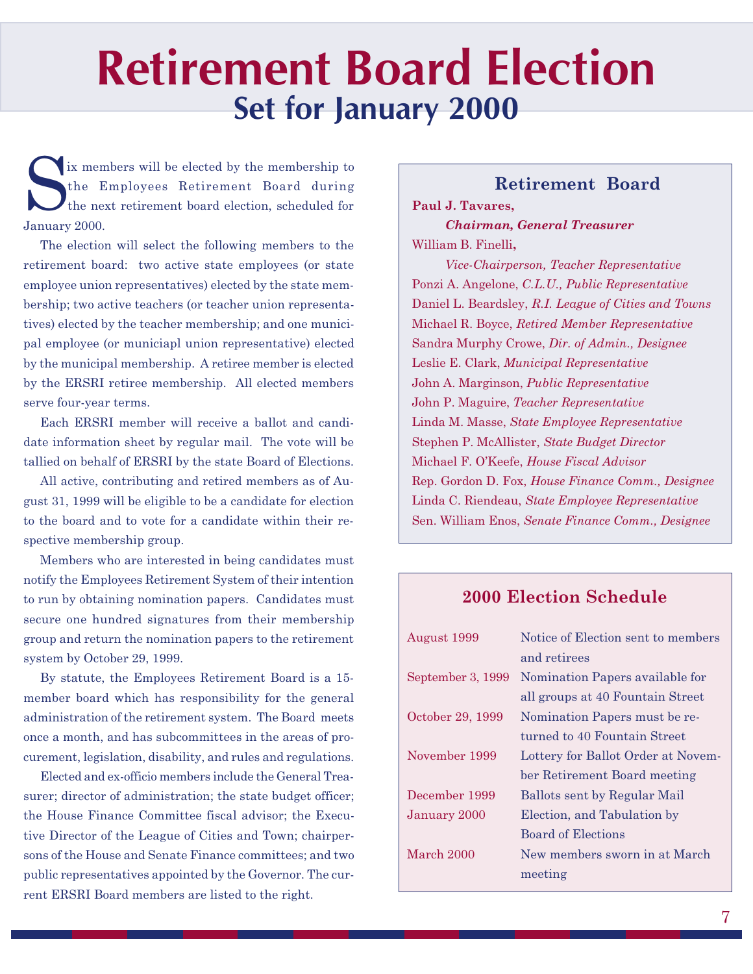## Retirement Board Election Set for January 2000

In the Employees Retirement Board during<br>the next retirement board election, scheduled for<br>Lawyer 2000 the Employees Retirement Board during the next retirement board election, scheduled for January 2000.

The election will select the following members to the retirement board: two active state employees (or state employee union representatives) elected by the state membership; two active teachers (or teacher union representatives) elected by the teacher membership; and one municipal employee (or municiapl union representative) elected by the municipal membership. A retiree member is elected by the ERSRI retiree membership. All elected members serve four-year terms.

Each ERSRI member will receive a ballot and candidate information sheet by regular mail. The vote will be tallied on behalf of ERSRI by the state Board of Elections.

All active, contributing and retired members as of August 31, 1999 will be eligible to be a candidate for election to the board and to vote for a candidate within their respective membership group.

Members who are interested in being candidates must notify the Employees Retirement System of their intention to run by obtaining nomination papers. Candidates must secure one hundred signatures from their membership group and return the nomination papers to the retirement system by October 29, 1999.

By statute, the Employees Retirement Board is a 15 member board which has responsibility for the general administration of the retirement system. The Board meets once a month, and has subcommittees in the areas of procurement, legislation, disability, and rules and regulations.

Elected and ex-officio members include the General Treasurer; director of administration; the state budget officer; the House Finance Committee fiscal advisor; the Executive Director of the League of Cities and Town; chairpersons of the House and Senate Finance committees; and two public representatives appointed by the Governor. The current ERSRI Board members are listed to the right.

#### Retirement Board

Paul J. Tavares, Chairman, General Treasurer William B. Finelli,

Vice-Chairperson, Teacher Representative Ponzi A. Angelone, C.L.U., Public Representative Daniel L. Beardsley, R.I. League of Cities and Towns Michael R. Boyce, Retired Member Representative Sandra Murphy Crowe, Dir. of Admin., Designee Leslie E. Clark, Municipal Representative John A. Marginson, Public Representative John P. Maguire, Teacher Representative Linda M. Masse, State Employee Representative Stephen P. McAllister, State Budget Director Michael F. O'Keefe, House Fiscal Advisor Rep. Gordon D. Fox, House Finance Comm., Designee Linda C. Riendeau, State Employee Representative Sen. William Enos, Senate Finance Comm., Designee

#### 2000 Election Schedule

| August 1999       | Notice of Election sent to members |
|-------------------|------------------------------------|
|                   | and retirees                       |
| September 3, 1999 | Nomination Papers available for    |
|                   | all groups at 40 Fountain Street   |
| October 29, 1999  | Nomination Papers must be re-      |
|                   | turned to 40 Fountain Street       |
| November 1999     | Lottery for Ballot Order at Novem- |
|                   | ber Retirement Board meeting       |
| December 1999     | Ballots sent by Regular Mail       |
| January 2000      | Election, and Tabulation by        |
|                   | Board of Elections                 |
| March 2000        | New members sworn in at March      |
|                   | meeting                            |
|                   |                                    |